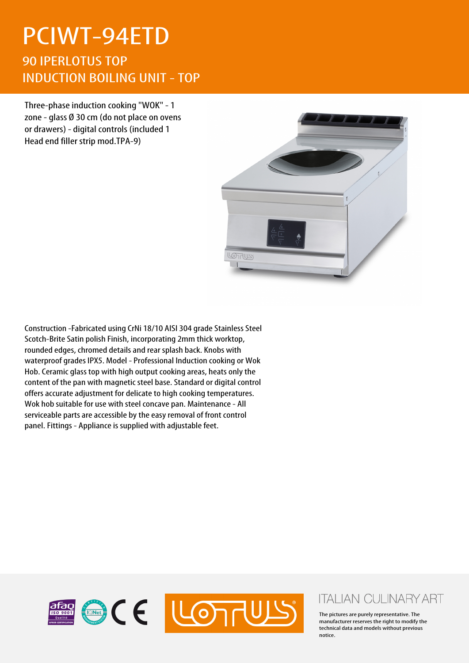## PCIWT-94ETD

90 IPERLOTUS TOP INDUCTION BOILING UNIT - TOP

Three-phase induction cooking "WOK" - 1 zone - glass Ø 30 cm (do not place on ovens or drawers) - digital controls (included 1 Head end filler strip mod.TPA-9)



Construction -Fabricated using CrNi 18/10 AISI 304 grade Stainless Steel Scotch-Brite Satin polish Finish, incorporating 2mm thick worktop, rounded edges, chromed details and rear splash back. Knobs with waterproof grades IPX5. Model - Professional Induction cooking or Wok Hob. Ceramic glass top with high output cooking areas, heats only the content of the pan with magnetic steel base. Standard or digital control offers accurate adjustment for delicate to high cooking temperatures. Wok hob suitable for use with steel concave pan. Maintenance - All serviceable parts are accessible by the easy removal of front control panel. Fittings - Appliance is supplied with adjustable feet.



## **ITALIAN CULINARY ART**

The pictures are purely representative. The manufacturer reserves the right to modify the technical data and models without previous notice.